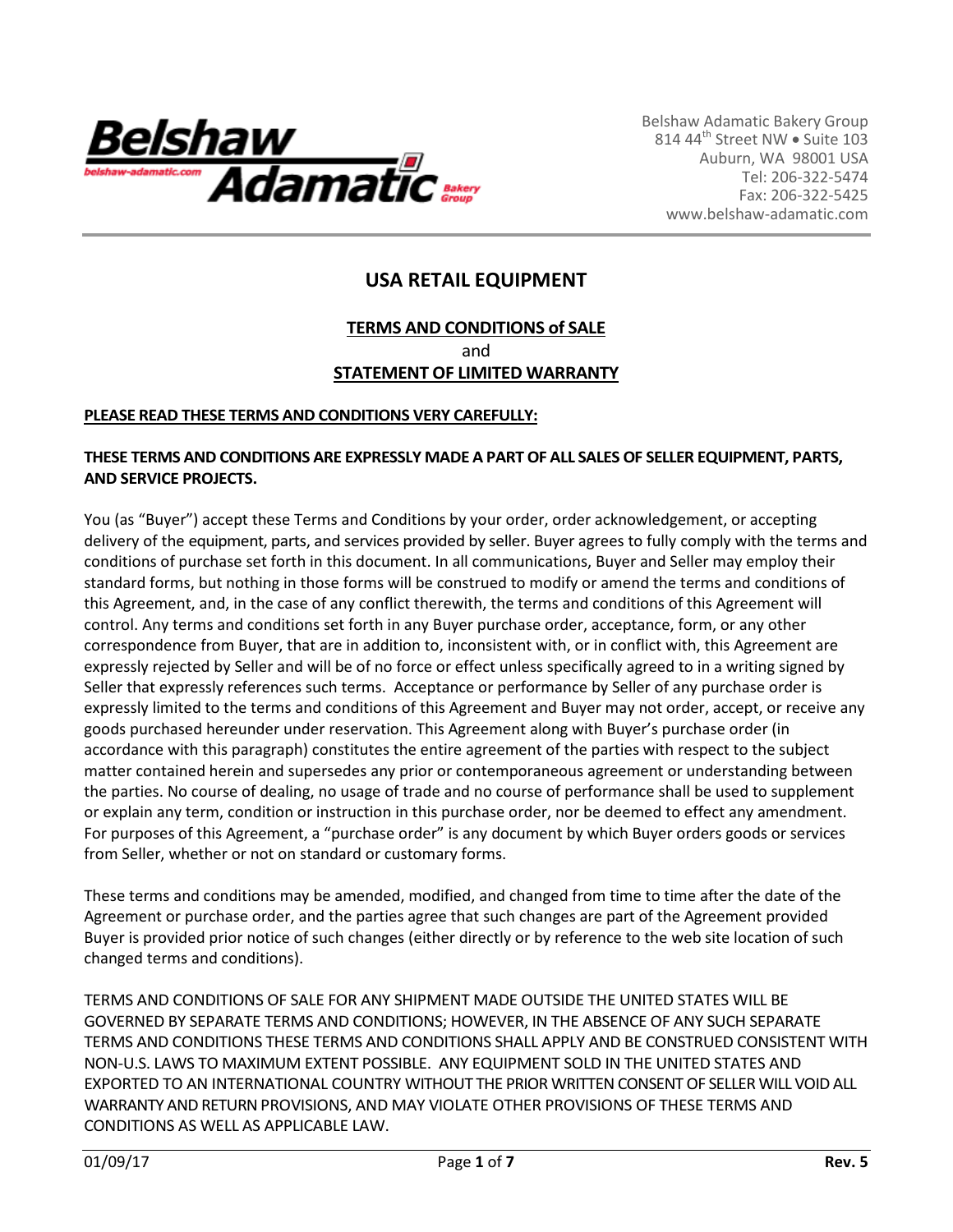

# **USA RETAIL EQUIPMENT**

### **TERMS AND CONDITIONS of SALE** and **STATEMENT OF LIMITED WARRANTY**

#### **PLEASE READ THESE TERMS AND CONDITIONS VERY CAREFULLY:**

#### **THESE TERMS AND CONDITIONS ARE EXPRESSLY MADE A PART OF ALL SALES OF SELLER EQUIPMENT, PARTS, AND SERVICE PROJECTS.**

You (as "Buyer") accept these Terms and Conditions by your order, order acknowledgement, or accepting delivery of the equipment, parts, and services provided by seller. Buyer agrees to fully comply with the terms and conditions of purchase set forth in this document. In all communications, Buyer and Seller may employ their standard forms, but nothing in those forms will be construed to modify or amend the terms and conditions of this Agreement, and, in the case of any conflict therewith, the terms and conditions of this Agreement will control. Any terms and conditions set forth in any Buyer purchase order, acceptance, form, or any other correspondence from Buyer, that are in addition to, inconsistent with, or in conflict with, this Agreement are expressly rejected by Seller and will be of no force or effect unless specifically agreed to in a writing signed by Seller that expressly references such terms. Acceptance or performance by Seller of any purchase order is expressly limited to the terms and conditions of this Agreement and Buyer may not order, accept, or receive any goods purchased hereunder under reservation. This Agreement along with Buyer's purchase order (in accordance with this paragraph) constitutes the entire agreement of the parties with respect to the subject matter contained herein and supersedes any prior or contemporaneous agreement or understanding between the parties. No course of dealing, no usage of trade and no course of performance shall be used to supplement or explain any term, condition or instruction in this purchase order, nor be deemed to effect any amendment. For purposes of this Agreement, a "purchase order" is any document by which Buyer orders goods or services from Seller, whether or not on standard or customary forms.

These terms and conditions may be amended, modified, and changed from time to time after the date of the Agreement or purchase order, and the parties agree that such changes are part of the Agreement provided Buyer is provided prior notice of such changes (either directly or by reference to the web site location of such changed terms and conditions).

TERMS AND CONDITIONS OF SALE FOR ANY SHIPMENT MADE OUTSIDE THE UNITED STATES WILL BE GOVERNED BY SEPARATE TERMS AND CONDITIONS; HOWEVER, IN THE ABSENCE OF ANY SUCH SEPARATE TERMS AND CONDITIONS THESE TERMS AND CONDITIONS SHALL APPLY AND BE CONSTRUED CONSISTENT WITH NON-U.S. LAWS TO MAXIMUM EXTENT POSSIBLE. ANY EQUIPMENT SOLD IN THE UNITED STATES AND EXPORTED TO AN INTERNATIONAL COUNTRY WITHOUT THE PRIOR WRITTENCONSENT OF SELLER WILL VOID ALL WARRANTY AND RETURN PROVISIONS, AND MAY VIOLATE OTHER PROVISIONS OF THESE TERMS AND CONDITIONS AS WELL AS APPLICABLE LAW.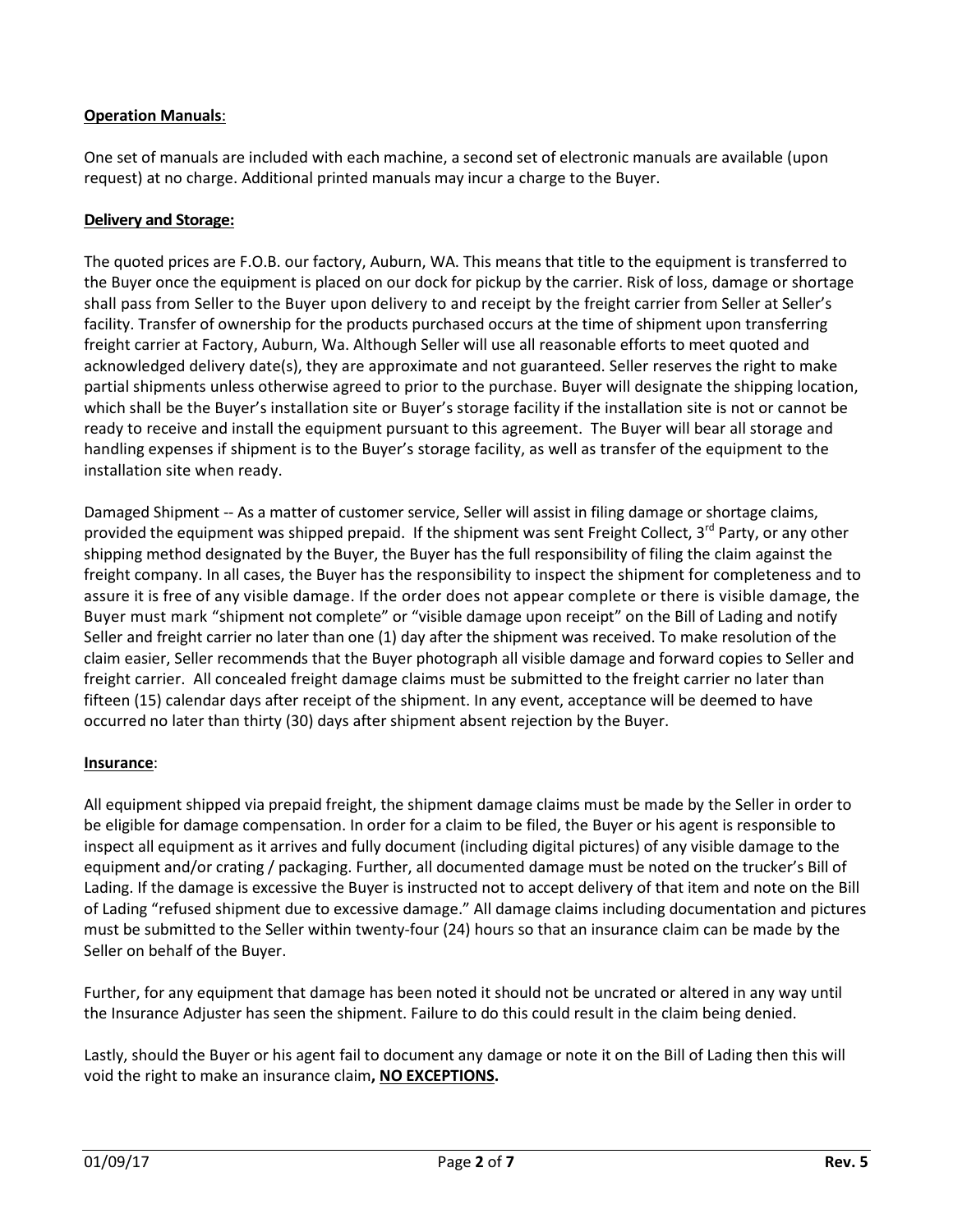### **Operation Manuals**:

One set of manuals are included with each machine, a second set of electronic manuals are available (upon request) at no charge. Additional printed manuals may incur a charge to the Buyer.

#### **Delivery and Storage:**

The quoted prices are F.O.B. our factory, Auburn, WA. This means that title to the equipment is transferred to the Buyer once the equipment is placed on our dock for pickup by the carrier. Risk of loss, damage or shortage shall pass from Seller to the Buyer upon delivery to and receipt by the freight carrier from Seller at Seller's facility. Transfer of ownership for the products purchased occurs at the time of shipment upon transferring freight carrier at Factory, Auburn, Wa. Although Seller will use all reasonable efforts to meet quoted and acknowledged delivery date(s), they are approximate and not guaranteed. Seller reserves the right to make partial shipments unless otherwise agreed to prior to the purchase. Buyer will designate the shipping location, which shall be the Buyer's installation site or Buyer's storage facility if the installation site is not or cannot be ready to receive and install the equipment pursuant to this agreement. The Buyer will bear all storage and handling expenses if shipment is to the Buyer's storage facility, as well as transfer of the equipment to the installation site when ready.

Damaged Shipment -- As a matter of customer service, Seller will assist in filing damage or shortage claims, provided the equipment was shipped prepaid. If the shipment was sent Freight Collect, 3<sup>rd</sup> Party, or any other shipping method designated by the Buyer, the Buyer has the full responsibility of filing the claim against the freight company. In all cases, the Buyer has the responsibility to inspect the shipment for completeness and to assure it is free of any visible damage. If the order does not appear complete or there is visible damage, the Buyer must mark "shipment not complete" or "visible damage upon receipt" on the Bill of Lading and notify Seller and freight carrier no later than one (1) day after the shipment was received. To make resolution of the claim easier, Seller recommends that the Buyer photograph all visible damage and forward copies to Seller and freight carrier. All concealed freight damage claims must be submitted to the freight carrier no later than fifteen (15) calendar days after receipt of the shipment. In any event, acceptance will be deemed to have occurred no later than thirty (30) days after shipment absent rejection by the Buyer.

#### **Insurance**:

All equipment shipped via prepaid freight, the shipment damage claims must be made by the Seller in order to be eligible for damage compensation. In order for a claim to be filed, the Buyer or his agent is responsible to inspect all equipment as it arrives and fully document (including digital pictures) of any visible damage to the equipment and/or crating / packaging. Further, all documented damage must be noted on the trucker's Bill of Lading. If the damage is excessive the Buyer is instructed not to accept delivery of that item and note on the Bill of Lading "refused shipment due to excessive damage." All damage claims including documentation and pictures must be submitted to the Seller within twenty-four (24) hours so that an insurance claim can be made by the Seller on behalf of the Buyer.

Further, for any equipment that damage has been noted it should not be uncrated or altered in any way until the Insurance Adjuster has seen the shipment. Failure to do this could result in the claim being denied.

Lastly, should the Buyer or his agent fail to document any damage or note it on the Bill of Lading then this will void the right to make an insurance claim**, NO EXCEPTIONS.**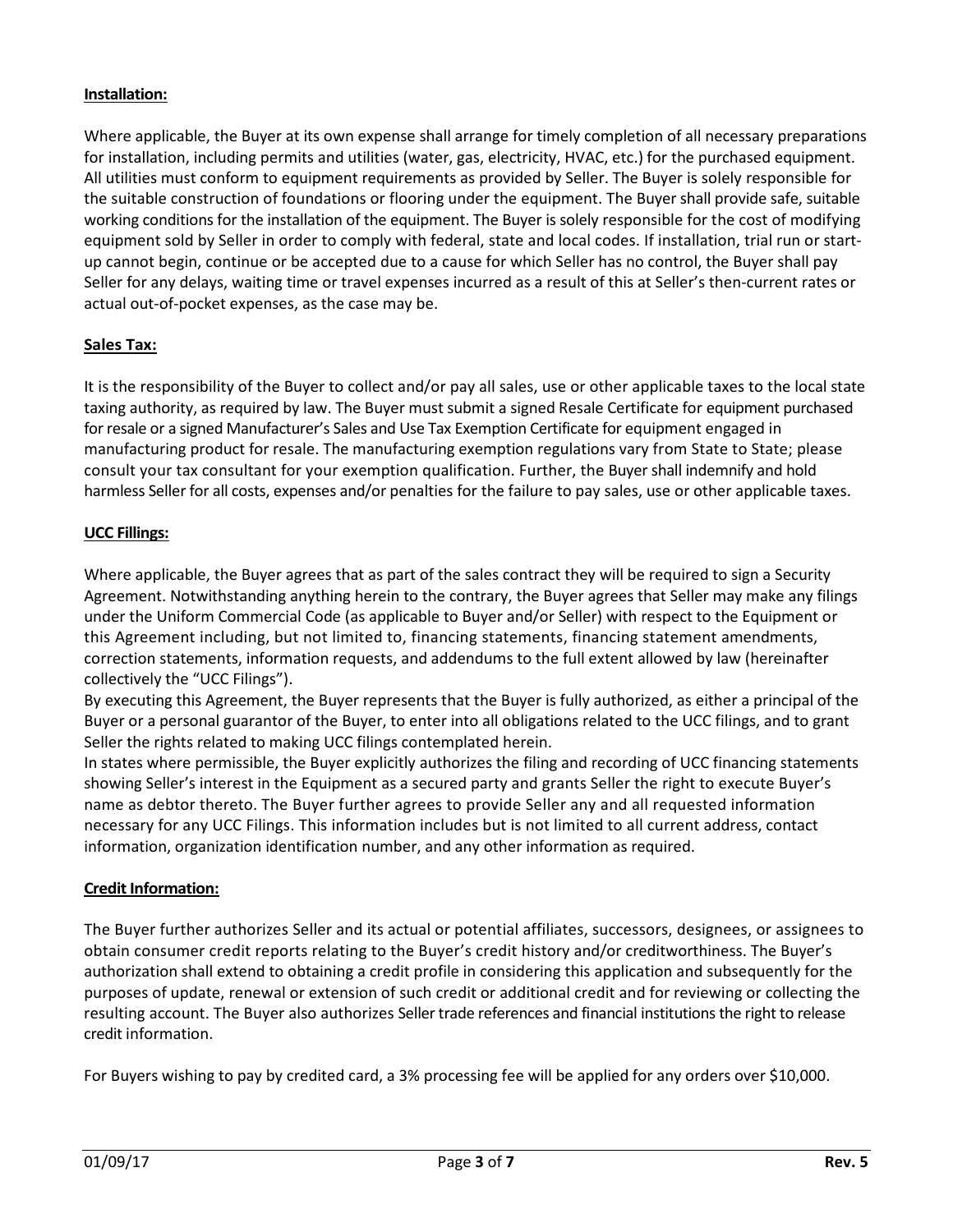### **Installation:**

Where applicable, the Buyer at its own expense shall arrange for timely completion of all necessary preparations for installation, including permits and utilities (water, gas, electricity, HVAC, etc.) for the purchased equipment. All utilities must conform to equipment requirements as provided by Seller. The Buyer is solely responsible for the suitable construction of foundations or flooring under the equipment. The Buyer shall provide safe, suitable working conditions for the installation of the equipment. The Buyer is solely responsible for the cost of modifying equipment sold by Seller in order to comply with federal, state and local codes. If installation, trial run or startup cannot begin, continue or be accepted due to a cause for which Seller has no control, the Buyer shall pay Seller for any delays, waiting time or travel expenses incurred as a result of this at Seller's then-current rates or actual out-of-pocket expenses, as the case may be.

### **Sales Tax:**

It is the responsibility of the Buyer to collect and/or pay all sales, use or other applicable taxes to the local state taxing authority, as required by law. The Buyer must submit a signed Resale Certificate for equipment purchased for resale or a signed Manufacturer's Sales and Use Tax Exemption Certificate for equipment engaged in manufacturing product for resale. The manufacturing exemption regulations vary from State to State; please consult your tax consultant for your exemption qualification. Further, the Buyer shall indemnify and hold harmless Seller for all costs, expenses and/or penalties for the failure to pay sales, use or other applicable taxes.

#### **UCC Fillings:**

Where applicable, the Buyer agrees that as part of the sales contract they will be required to sign a Security Agreement. Notwithstanding anything herein to the contrary, the Buyer agrees that Seller may make any filings under the Uniform Commercial Code (as applicable to Buyer and/or Seller) with respect to the Equipment or this Agreement including, but not limited to, financing statements, financing statement amendments, correction statements, information requests, and addendums to the full extent allowed by law (hereinafter collectively the "UCC Filings").

By executing this Agreement, the Buyer represents that the Buyer is fully authorized, as either a principal of the Buyer or a personal guarantor of the Buyer, to enter into all obligations related to the UCC filings, and to grant Seller the rights related to making UCC filings contemplated herein.

In states where permissible, the Buyer explicitly authorizes the filing and recording of UCC financing statements showing Seller's interest in the Equipment as a secured party and grants Seller the right to execute Buyer's name as debtor thereto. The Buyer further agrees to provide Seller any and all requested information necessary for any UCC Filings. This information includes but is not limited to all current address, contact information, organization identification number, and any other information as required.

#### **Credit Information:**

The Buyer further authorizes Seller and its actual or potential affiliates, successors, designees, or assignees to obtain consumer credit reports relating to the Buyer's credit history and/or creditworthiness. The Buyer's authorization shall extend to obtaining a credit profile in considering this application and subsequently for the purposes of update, renewal or extension of such credit or additional credit and for reviewing or collecting the resulting account. The Buyer also authorizes Seller trade references and financial institutions the right to release credit information.

For Buyers wishing to pay by credited card, a 3% processing fee will be applied for any orders over \$10,000.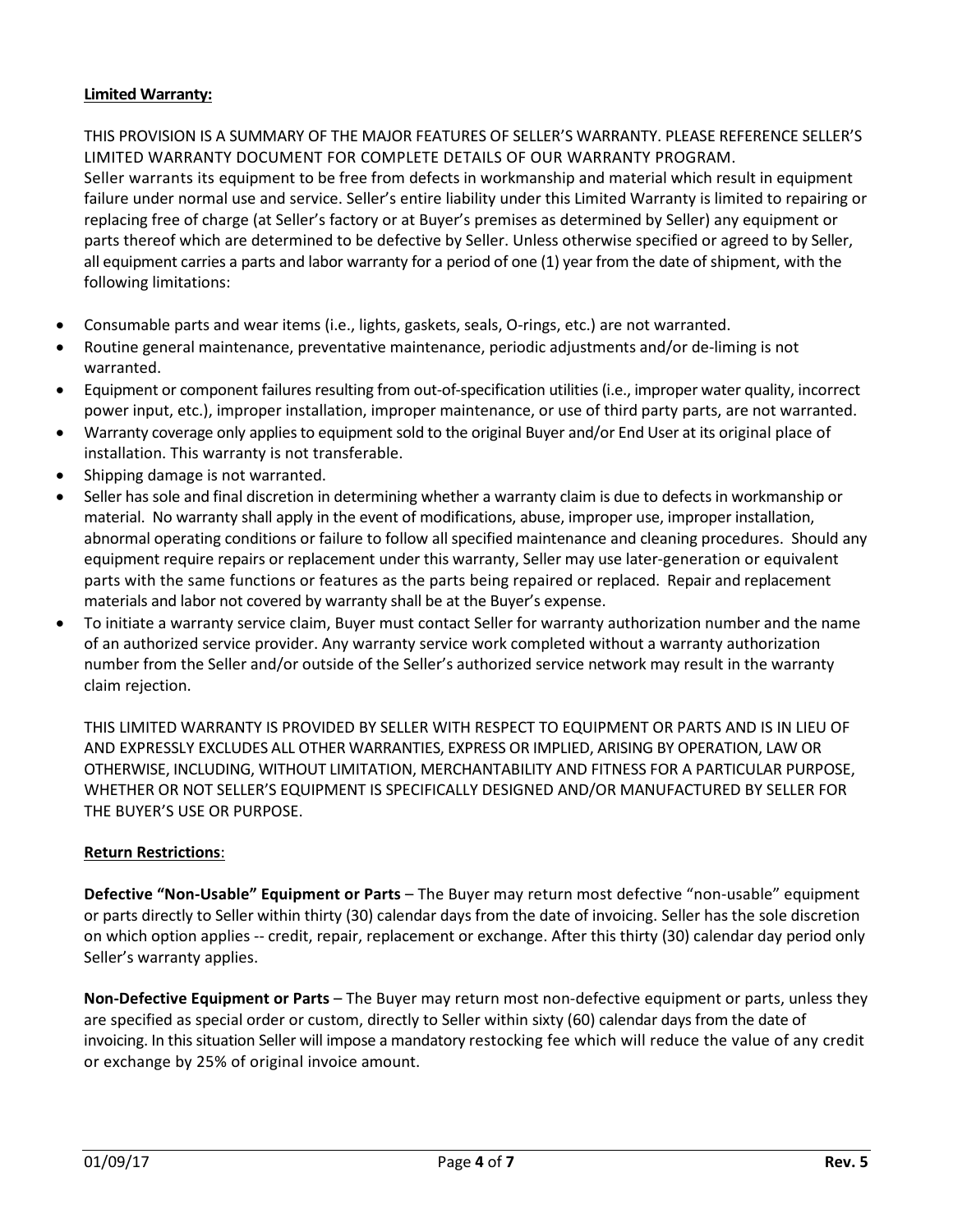### **Limited Warranty:**

THIS PROVISION IS A SUMMARY OF THE MAJOR FEATURES OF SELLER'S WARRANTY. PLEASE REFERENCE SELLER'S LIMITED WARRANTY DOCUMENT FOR COMPLETE DETAILS OF OUR WARRANTY PROGRAM. Seller warrants its equipment to be free from defects in workmanship and material which result in equipment failure under normal use and service. Seller's entire liability under this Limited Warranty is limited to repairing or replacing free of charge (at Seller's factory or at Buyer's premises as determined by Seller) any equipment or parts thereof which are determined to be defective by Seller. Unless otherwise specified or agreed to by Seller, all equipment carries a parts and labor warranty for a period of one (1) year from the date of shipment, with the following limitations:

- Consumable parts and wear items (i.e., lights, gaskets, seals, O-rings, etc.) are not warranted.
- Routine general maintenance, preventative maintenance, periodic adjustments and/or de-liming is not warranted.
- Equipment or component failures resulting from out-of-specification utilities (i.e., improper water quality, incorrect power input, etc.), improper installation, improper maintenance, or use of third party parts, are not warranted.
- Warranty coverage only applies to equipment sold to the original Buyer and/or End User at its original place of installation. This warranty is not transferable.
- Shipping damage is not warranted.
- Seller has sole and final discretion in determining whether a warranty claim is due to defects in workmanship or material. No warranty shall apply in the event of modifications, abuse, improper use, improper installation, abnormal operating conditions or failure to follow all specified maintenance and cleaning procedures. Should any equipment require repairs or replacement under this warranty, Seller may use later-generation or equivalent parts with the same functions or features as the parts being repaired or replaced. Repair and replacement materials and labor not covered by warranty shall be at the Buyer's expense.
- To initiate a warranty service claim, Buyer must contact Seller for warranty authorization number and the name of an authorized service provider. Any warranty service work completed without a warranty authorization number from the Seller and/or outside of the Seller's authorized service network may result in the warranty claim rejection.

THIS LIMITED WARRANTY IS PROVIDED BY SELLER WITH RESPECT TO EQUIPMENT OR PARTS AND IS IN LIEU OF AND EXPRESSLY EXCLUDES ALL OTHER WARRANTIES, EXPRESS OR IMPLIED, ARISING BY OPERATION, LAW OR OTHERWISE, INCLUDING, WITHOUT LIMITATION, MERCHANTABILITY AND FITNESS FOR A PARTICULAR PURPOSE, WHETHER OR NOT SELLER'S EQUIPMENT IS SPECIFICALLY DESIGNED AND/OR MANUFACTURED BY SELLER FOR THE BUYER'S USE OR PURPOSE.

#### **Return Restrictions**:

**Defective "Non-Usable" Equipment or Parts** – The Buyer may return most defective "non-usable" equipment or parts directly to Seller within thirty (30) calendar days from the date of invoicing. Seller has the sole discretion on which option applies -- credit, repair, replacement or exchange. After this thirty (30) calendar day period only Seller's warranty applies.

**Non-Defective Equipment or Parts** – The Buyer may return most non-defective equipment or parts, unless they are specified as special order or custom, directly to Seller within sixty (60) calendar days from the date of invoicing. In this situation Seller will impose a mandatory restocking fee which will reduce the value of any credit or exchange by 25% of original invoice amount.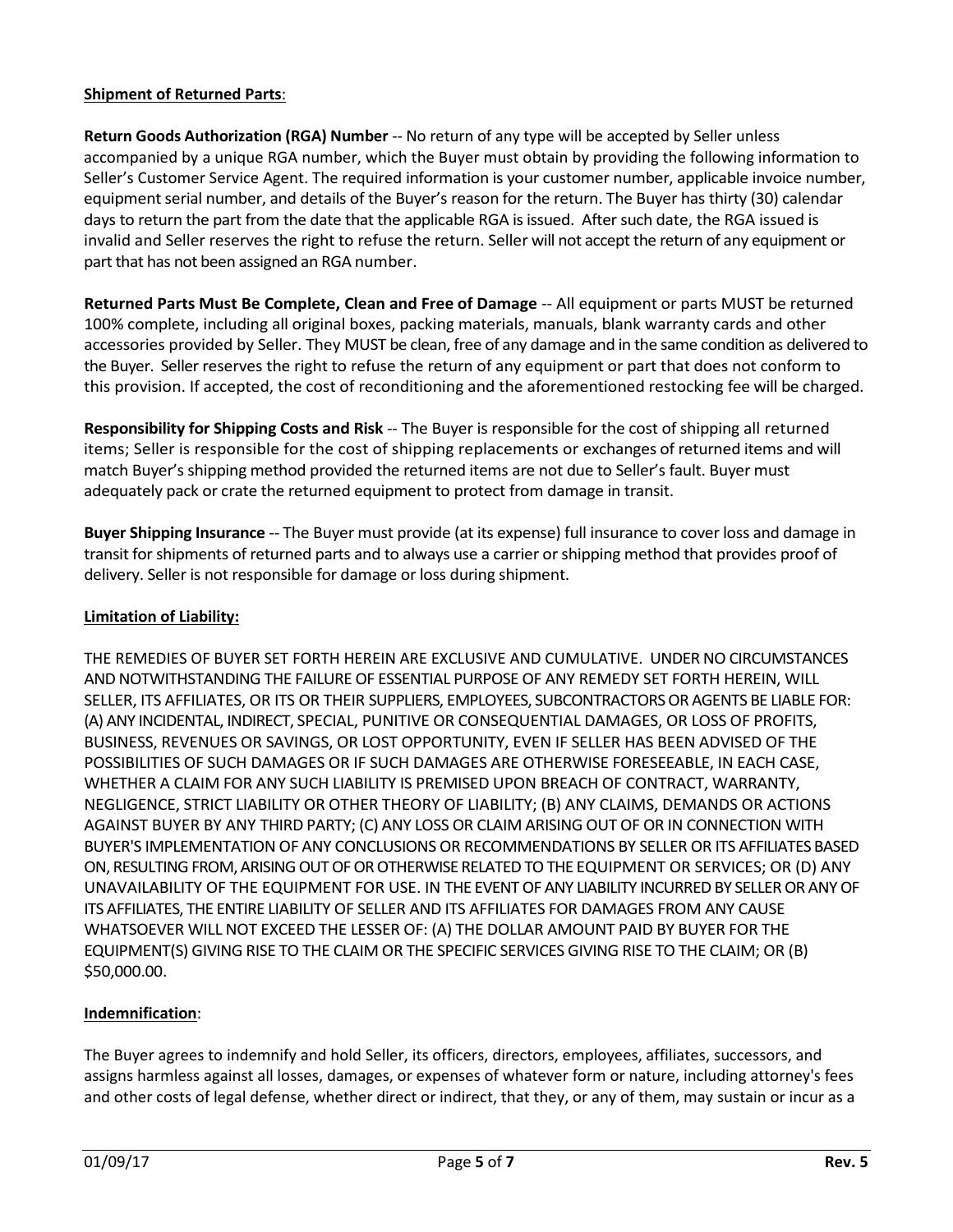### **Shipment of Returned Parts**:

**Return Goods Authorization (RGA) Number** -- No return of any type will be accepted by Seller unless accompanied by a unique RGA number, which the Buyer must obtain by providing the following information to Seller's Customer Service Agent. The required information is your customer number, applicable invoice number, equipment serial number, and details of the Buyer's reason for the return. The Buyer has thirty (30) calendar days to return the part from the date that the applicable RGA is issued. After such date, the RGA issued is invalid and Seller reserves the right to refuse the return. Seller will not accept the return of any equipment or part that has not been assigned an RGA number.

**Returned Parts Must Be Complete, Clean and Free of Damage** -- All equipment or parts MUST be returned 100% complete, including all original boxes, packing materials, manuals, blank warranty cards and other accessories provided by Seller. They MUST be clean, free of any damage and in the same condition as delivered to the Buyer. Seller reserves the right to refuse the return of any equipment or part that does not conform to this provision. If accepted, the cost of reconditioning and the aforementioned restocking fee will be charged.

**Responsibility for Shipping Costs and Risk** -- The Buyer is responsible for the cost of shipping all returned items; Seller is responsible for the cost of shipping replacements or exchanges of returned items and will match Buyer's shipping method provided the returned items are not due to Seller's fault. Buyer must adequately pack or crate the returned equipment to protect from damage in transit.

**Buyer Shipping Insurance** -- The Buyer must provide (at its expense) full insurance to cover loss and damage in transit for shipments of returned parts and to always use a carrier or shipping method that provides proof of delivery. Seller is not responsible for damage or loss during shipment.

### **Limitation of Liability:**

THE REMEDIES OF BUYER SET FORTH HEREIN ARE EXCLUSIVE AND CUMULATIVE. UNDER NO CIRCUMSTANCES AND NOTWITHSTANDING THE FAILURE OF ESSENTIAL PURPOSE OF ANY REMEDY SET FORTH HEREIN, WILL SELLER, ITS AFFILIATES, OR ITS OR THEIR SUPPLIERS, EMPLOYEES, SUBCONTRACTORS OR AGENTS BE LIABLE FOR: (A) ANY INCIDENTAL, INDIRECT, SPECIAL, PUNITIVE OR CONSEQUENTIAL DAMAGES, OR LOSS OF PROFITS, BUSINESS, REVENUES OR SAVINGS, OR LOST OPPORTUNITY, EVEN IF SELLER HAS BEEN ADVISED OF THE POSSIBILITIES OF SUCH DAMAGES OR IF SUCH DAMAGES ARE OTHERWISE FORESEEABLE, IN EACH CASE, WHETHER A CLAIM FOR ANY SUCH LIABILITY IS PREMISED UPON BREACH OF CONTRACT, WARRANTY, NEGLIGENCE, STRICT LIABILITY OR OTHER THEORY OF LIABILITY; (B) ANY CLAIMS, DEMANDS OR ACTIONS AGAINST BUYER BY ANY THIRD PARTY; (C) ANY LOSS OR CLAIM ARISING OUT OF OR IN CONNECTION WITH BUYER'S IMPLEMENTATION OF ANY CONCLUSIONS OR RECOMMENDATIONS BY SELLER OR ITS AFFILIATES BASED ON, RESULTING FROM, ARISING OUT OF OR OTHERWISE RELATED TO THE EQUIPMENT OR SERVICES; OR (D) ANY UNAVAILABILITY OF THE EQUIPMENT FOR USE. IN THE EVENT OF ANY LIABILITY INCURRED BY SELLER OR ANY OF ITS AFFILIATES, THE ENTIRE LIABILITY OF SELLER AND ITS AFFILIATES FOR DAMAGES FROM ANY CAUSE WHATSOEVER WILL NOT EXCEED THE LESSER OF: (A) THE DOLLAR AMOUNT PAID BY BUYER FOR THE EQUIPMENT(S) GIVING RISE TO THE CLAIM OR THE SPECIFIC SERVICES GIVING RISE TO THE CLAIM; OR (B) \$50,000.00.

### **Indemnification**:

The Buyer agrees to indemnify and hold Seller, its officers, directors, employees, affiliates, successors, and assigns harmless against all losses, damages, or expenses of whatever form or nature, including attorney's fees and other costs of legal defense, whether direct or indirect, that they, or any of them, may sustain or incur as a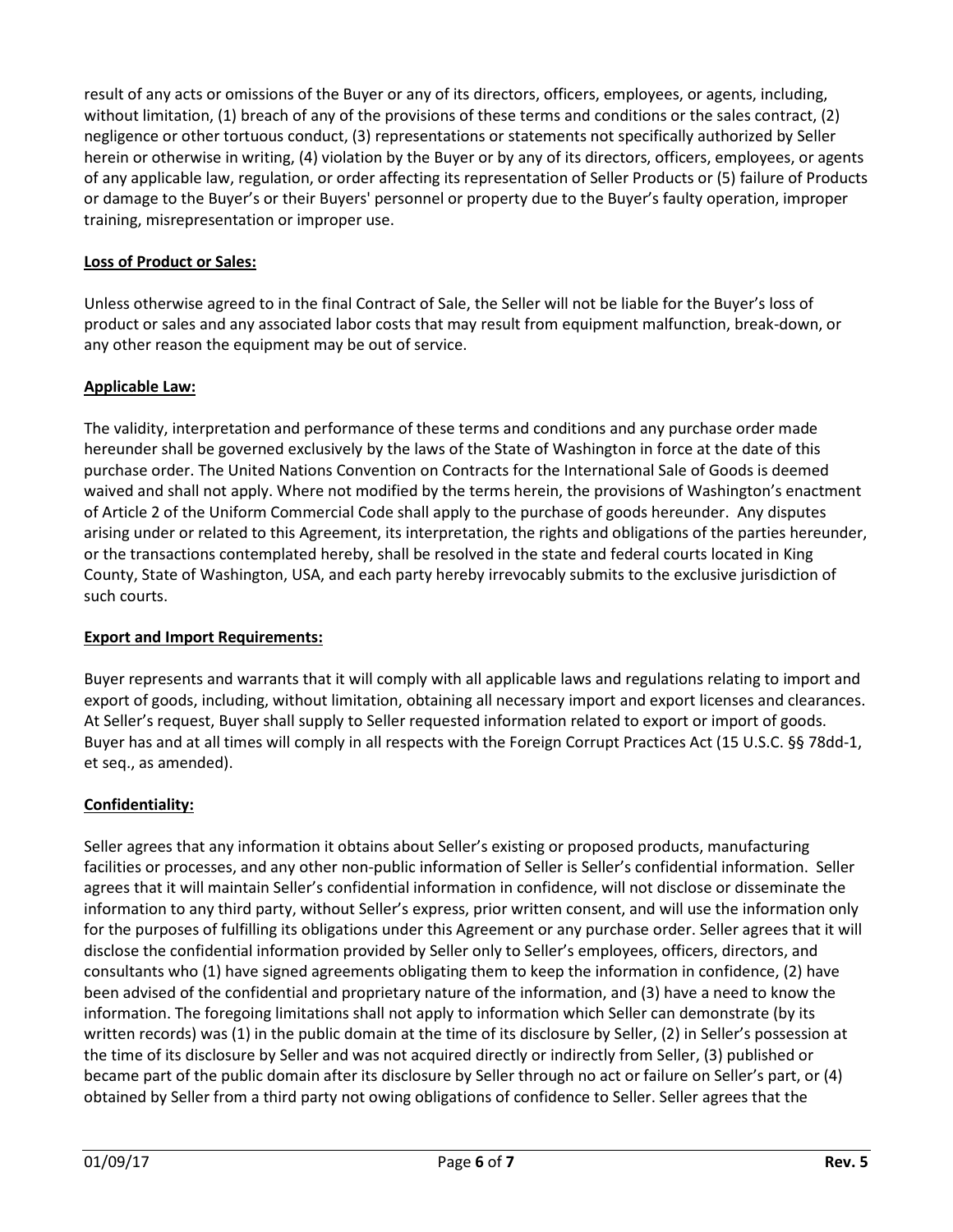result of any acts or omissions of the Buyer or any of its directors, officers, employees, or agents, including, without limitation, (1) breach of any of the provisions of these terms and conditions or the sales contract, (2) negligence or other tortuous conduct, (3) representations or statements not specifically authorized by Seller herein or otherwise in writing, (4) violation by the Buyer or by any of its directors, officers, employees, or agents of any applicable law, regulation, or order affecting its representation of Seller Products or (5) failure of Products or damage to the Buyer's or their Buyers' personnel or property due to the Buyer's faulty operation, improper training, misrepresentation or improper use.

### **Loss of Product or Sales:**

Unless otherwise agreed to in the final Contract of Sale, the Seller will not be liable for the Buyer's loss of product or sales and any associated labor costs that may result from equipment malfunction, break-down, or any other reason the equipment may be out of service.

### **Applicable Law:**

The validity, interpretation and performance of these terms and conditions and any purchase order made hereunder shall be governed exclusively by the laws of the State of Washington in force at the date of this purchase order. The United Nations Convention on Contracts for the International Sale of Goods is deemed waived and shall not apply. Where not modified by the terms herein, the provisions of Washington's enactment of Article 2 of the Uniform Commercial Code shall apply to the purchase of goods hereunder. Any disputes arising under or related to this Agreement, its interpretation, the rights and obligations of the parties hereunder, or the transactions contemplated hereby, shall be resolved in the state and federal courts located in King County, State of Washington, USA, and each party hereby irrevocably submits to the exclusive jurisdiction of such courts.

### **Export and Import Requirements:**

Buyer represents and warrants that it will comply with all applicable laws and regulations relating to import and export of goods, including, without limitation, obtaining all necessary import and export licenses and clearances. At Seller's request, Buyer shall supply to Seller requested information related to export or import of goods. Buyer has and at all times will comply in all respects with the Foreign Corrupt Practices Act (15 U.S.C. §§ 78dd-1, et seq., as amended).

## **Confidentiality:**

Seller agrees that any information it obtains about Seller's existing or proposed products, manufacturing facilities or processes, and any other non-public information of Seller is Seller's confidential information. Seller agrees that it will maintain Seller's confidential information in confidence, will not disclose or disseminate the information to any third party, without Seller's express, prior written consent, and will use the information only for the purposes of fulfilling its obligations under this Agreement or any purchase order. Seller agrees that it will disclose the confidential information provided by Seller only to Seller's employees, officers, directors, and consultants who (1) have signed agreements obligating them to keep the information in confidence, (2) have been advised of the confidential and proprietary nature of the information, and (3) have a need to know the information. The foregoing limitations shall not apply to information which Seller can demonstrate (by its written records) was (1) in the public domain at the time of its disclosure by Seller, (2) in Seller's possession at the time of its disclosure by Seller and was not acquired directly or indirectly from Seller, (3) published or became part of the public domain after its disclosure by Seller through no act or failure on Seller's part, or (4) obtained by Seller from a third party not owing obligations of confidence to Seller. Seller agrees that the